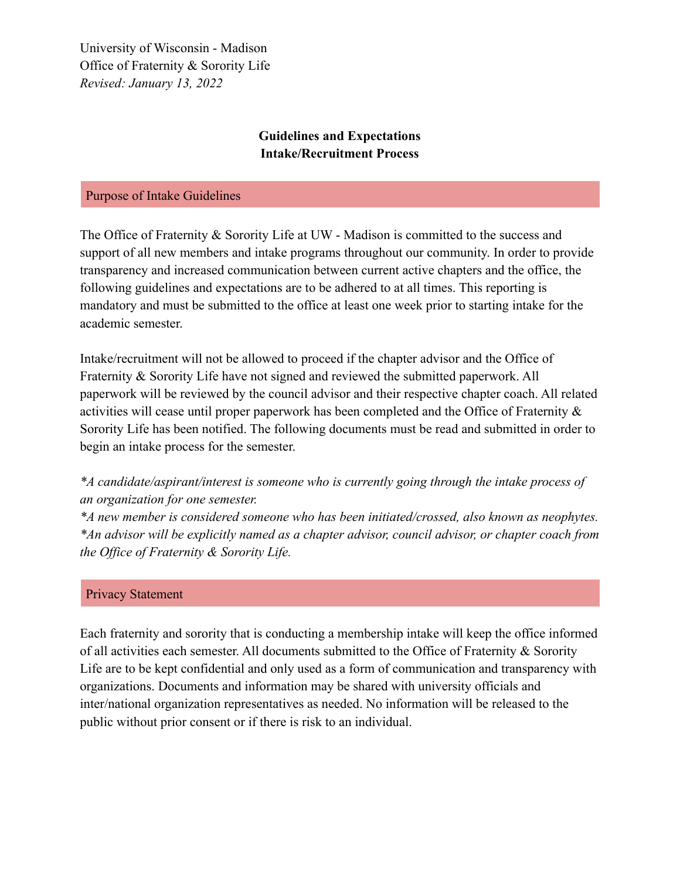University of Wisconsin - Madison Office of Fraternity & Sorority Life *Revised: January 13, 2022*

## **Guidelines and Expectations Intake/Recruitment Process**

### Purpose of Intake Guidelines

The Office of Fraternity & Sorority Life at UW - Madison is committed to the success and support of all new members and intake programs throughout our community. In order to provide transparency and increased communication between current active chapters and the office, the following guidelines and expectations are to be adhered to at all times. This reporting is mandatory and must be submitted to the office at least one week prior to starting intake for the academic semester.

Intake/recruitment will not be allowed to proceed if the chapter advisor and the Office of Fraternity & Sorority Life have not signed and reviewed the submitted paperwork. All paperwork will be reviewed by the council advisor and their respective chapter coach. All related activities will cease until proper paperwork has been completed and the Office of Fraternity & Sorority Life has been notified. The following documents must be read and submitted in order to begin an intake process for the semester.

*\*A candidate/aspirant/interest is someone who is currently going through the intake process of an organization for one semester.*

*\*A new member is considered someone who has been initiated/crossed, also known as neophytes. \*An advisor will be explicitly named as a chapter advisor, council advisor, or chapter coach from the Office of Fraternity & Sorority Life.*

### Privacy Statement

Each fraternity and sorority that is conducting a membership intake will keep the office informed of all activities each semester. All documents submitted to the Office of Fraternity & Sorority Life are to be kept confidential and only used as a form of communication and transparency with organizations. Documents and information may be shared with university officials and inter/national organization representatives as needed. No information will be released to the public without prior consent or if there is risk to an individual.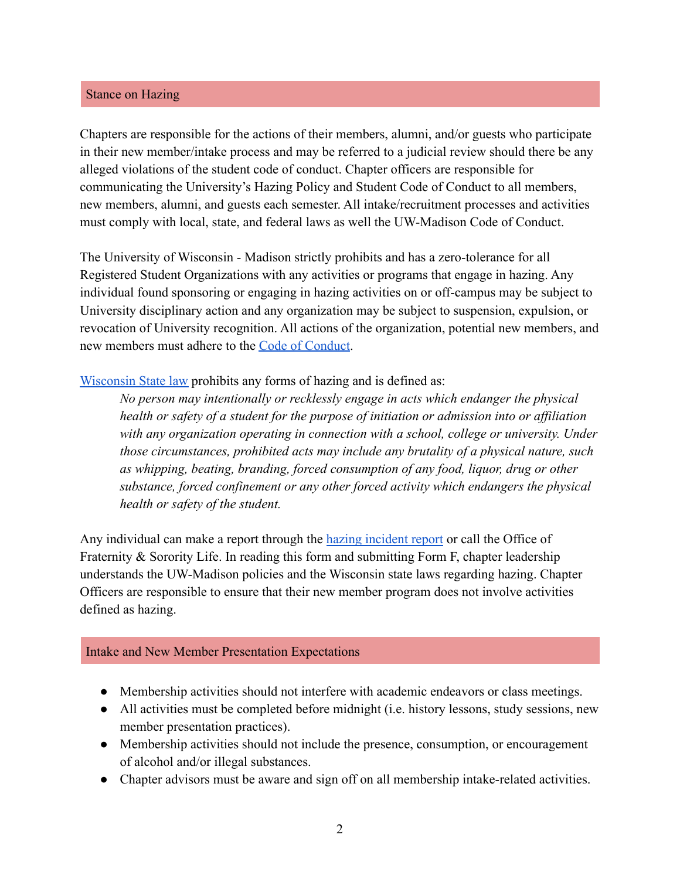### Stance on Hazing

Chapters are responsible for the actions of their members, alumni, and/or guests who participate in their new member/intake process and may be referred to a judicial review should there be any alleged violations of the student code of conduct. Chapter officers are responsible for communicating the University's Hazing Policy and Student Code of Conduct to all members, new members, alumni, and guests each semester. All intake/recruitment processes and activities must comply with local, state, and federal laws as well the UW-Madison Code of Conduct.

The University of Wisconsin - Madison strictly prohibits and has a zero-tolerance for all Registered Student Organizations with any activities or programs that engage in hazing. Any individual found sponsoring or engaging in hazing activities on or off-campus may be subject to University disciplinary action and any organization may be subject to suspension, expulsion, or revocation of University recognition. All actions of the organization, potential new members, and new members must adhere to the [Code of Conduct](https://guide.cfli.wisc.edu/documents/code-of-conduct/).

[Wisconsin State law](https://docs.legis.wisconsin.gov/statutes/statutes/948/51) prohibits any forms of hazing and is defined as:

*No person may intentionally or recklessly engage in acts which endanger the physical health or safety of a student for the purpose of initiation or admission into or affiliation with any organization operating in connection with a school, college or university. Under those circumstances, prohibited acts may include any brutality of a physical nature, such as whipping, beating, branding, forced consumption of any food, liquor, drug or other substance, forced confinement or any other forced activity which endangers the physical health or safety of the student.*

Any individual can make a report through the hazing [incident report](https://cm.maxient.com/reportingform.php?UnivofWisconsinMadison&layout_id=15) or call the Office of Fraternity & Sorority Life. In reading this form and submitting Form F, chapter leadership understands the UW-Madison policies and the Wisconsin state laws regarding hazing. Chapter Officers are responsible to ensure that their new member program does not involve activities defined as hazing.

### Intake and New Member Presentation Expectations

- Membership activities should not interfere with academic endeavors or class meetings.
- All activities must be completed before midnight (i.e. history lessons, study sessions, new member presentation practices).
- Membership activities should not include the presence, consumption, or encouragement of alcohol and/or illegal substances.
- Chapter advisors must be aware and sign off on all membership intake-related activities.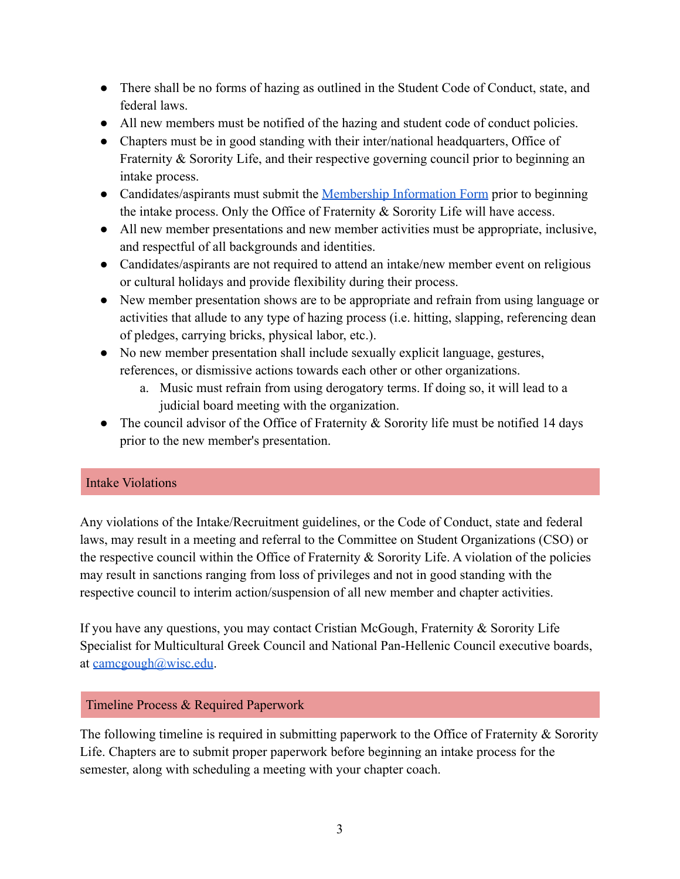- There shall be no forms of hazing as outlined in the Student Code of Conduct, state, and federal laws.
- All new members must be notified of the hazing and student code of conduct policies.
- Chapters must be in good standing with their inter/national headquarters, Office of Fraternity & Sorority Life, and their respective governing council prior to beginning an intake process.
- Candidates/aspirants must submit the [Membership Information](https://win.wisc.edu/submitter/form/start/135078) Form prior to beginning the intake process. Only the Office of Fraternity & Sorority Life will have access.
- All new member presentations and new member activities must be appropriate, inclusive, and respectful of all backgrounds and identities.
- Candidates/aspirants are not required to attend an intake/new member event on religious or cultural holidays and provide flexibility during their process.
- New member presentation shows are to be appropriate and refrain from using language or activities that allude to any type of hazing process (i.e. hitting, slapping, referencing dean of pledges, carrying bricks, physical labor, etc.).
- No new member presentation shall include sexually explicit language, gestures, references, or dismissive actions towards each other or other organizations.
	- a. Music must refrain from using derogatory terms. If doing so, it will lead to a judicial board meeting with the organization.
- The council advisor of the Office of Fraternity  $\&$  Sorority life must be notified 14 days prior to the new member's presentation.

## Intake Violations

Any violations of the Intake/Recruitment guidelines, or the Code of Conduct, state and federal laws, may result in a meeting and referral to the Committee on Student Organizations (CSO) or the respective council within the Office of Fraternity & Sorority Life. A violation of the policies may result in sanctions ranging from loss of privileges and not in good standing with the respective council to interim action/suspension of all new member and chapter activities.

If you have any questions, you may contact Cristian McGough, Fraternity & Sorority Life Specialist for Multicultural Greek Council and National Pan-Hellenic Council executive boards, at [camcgough@wisc.edu](mailto:camcgough@wisc.edu).

## Timeline Process & Required Paperwork

The following timeline is required in submitting paperwork to the Office of Fraternity & Sorority Life. Chapters are to submit proper paperwork before beginning an intake process for the semester, along with scheduling a meeting with your chapter coach.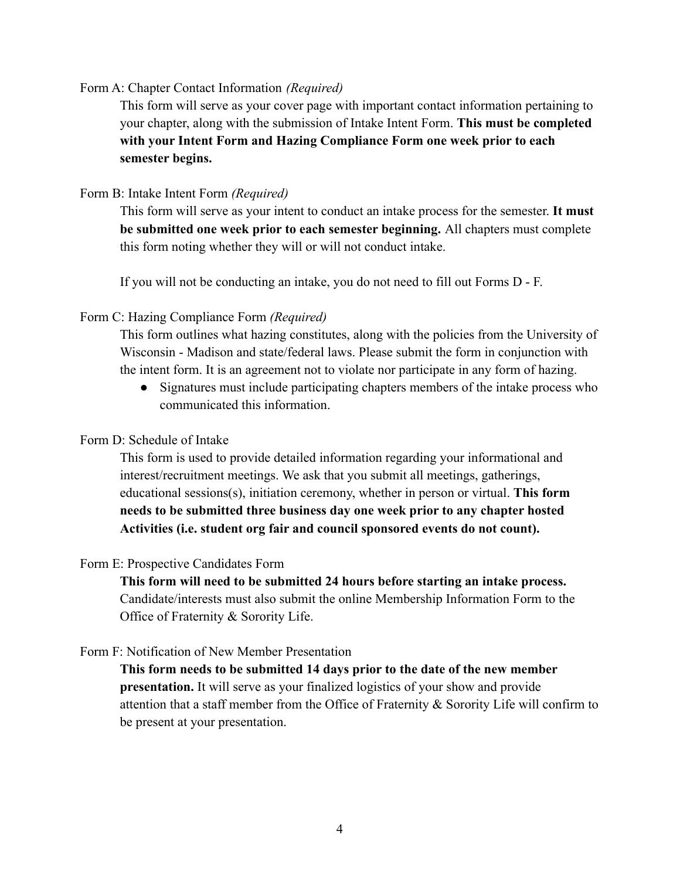#### Form A: Chapter Contact Information *(Required)*

This form will serve as your cover page with important contact information pertaining to your chapter, along with the submission of Intake Intent Form. **This must be completed with your Intent Form and Hazing Compliance Form one week prior to each semester begins.**

## Form B: Intake Intent Form *(Required)*

This form will serve as your intent to conduct an intake process for the semester. **It must be submitted one week prior to each semester beginning.** All chapters must complete this form noting whether they will or will not conduct intake.

If you will not be conducting an intake, you do not need to fill out Forms D - F.

### Form C: Hazing Compliance Form *(Required)*

This form outlines what hazing constitutes, along with the policies from the University of Wisconsin - Madison and state/federal laws. Please submit the form in conjunction with the intent form. It is an agreement not to violate nor participate in any form of hazing.

• Signatures must include participating chapters members of the intake process who communicated this information.

### Form D: Schedule of Intake

This form is used to provide detailed information regarding your informational and interest/recruitment meetings. We ask that you submit all meetings, gatherings, educational sessions(s), initiation ceremony, whether in person or virtual. **This form needs to be submitted three business day one week prior to any chapter hosted Activities (i.e. student org fair and council sponsored events do not count).**

### Form E: Prospective Candidates Form

**This form will need to be submitted 24 hours before starting an intake process.** Candidate/interests must also submit the online Membership Information Form to the Office of Fraternity & Sorority Life.

#### Form F: Notification of New Member Presentation

**This form needs to be submitted 14 days prior to the date of the new member presentation.** It will serve as your finalized logistics of your show and provide attention that a staff member from the Office of Fraternity & Sorority Life will confirm to be present at your presentation.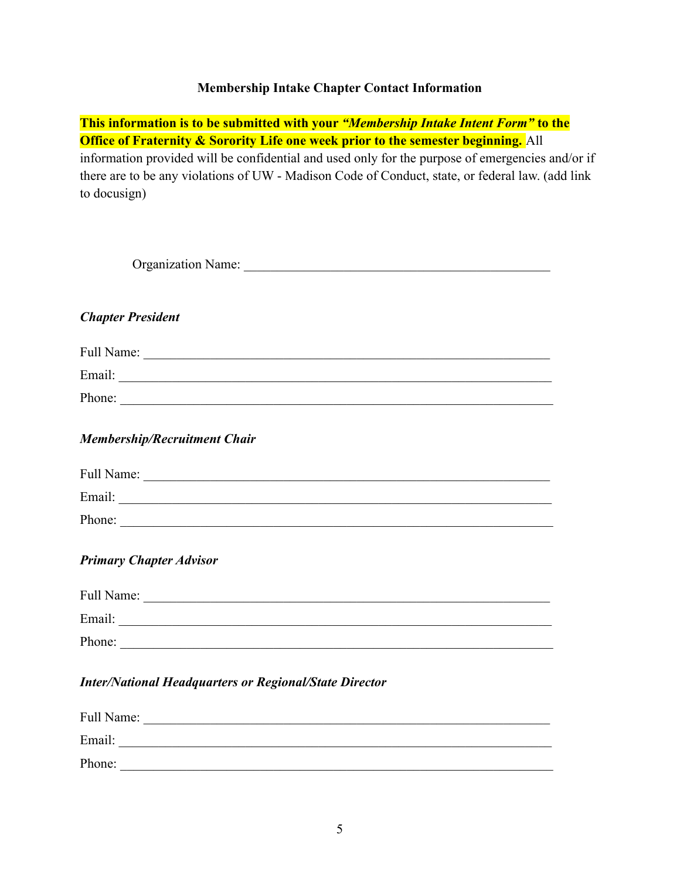## **Membership Intake Chapter Contact Information**

**This information is to be submitted with your** *"Membership Intake Intent Form"* **to the Office of Fraternity & Sorority Life one week prior to the semester beginning.** All information provided will be confidential and used only for the purpose of emergencies and/or if there are to be any violations of UW - Madison Code of Conduct, state, or federal law. (add link to docusign)

| Organization Name:                                            |
|---------------------------------------------------------------|
| <b>Chapter President</b>                                      |
|                                                               |
|                                                               |
| Phone:                                                        |
| <b>Membership/Recruitment Chair</b>                           |
|                                                               |
|                                                               |
| Phone:                                                        |
| <b>Primary Chapter Advisor</b>                                |
|                                                               |
|                                                               |
| Phone:                                                        |
| <b>Inter/National Headquarters or Regional/State Director</b> |

| Full Name: |  |  |
|------------|--|--|
| Email:     |  |  |
| Phone:     |  |  |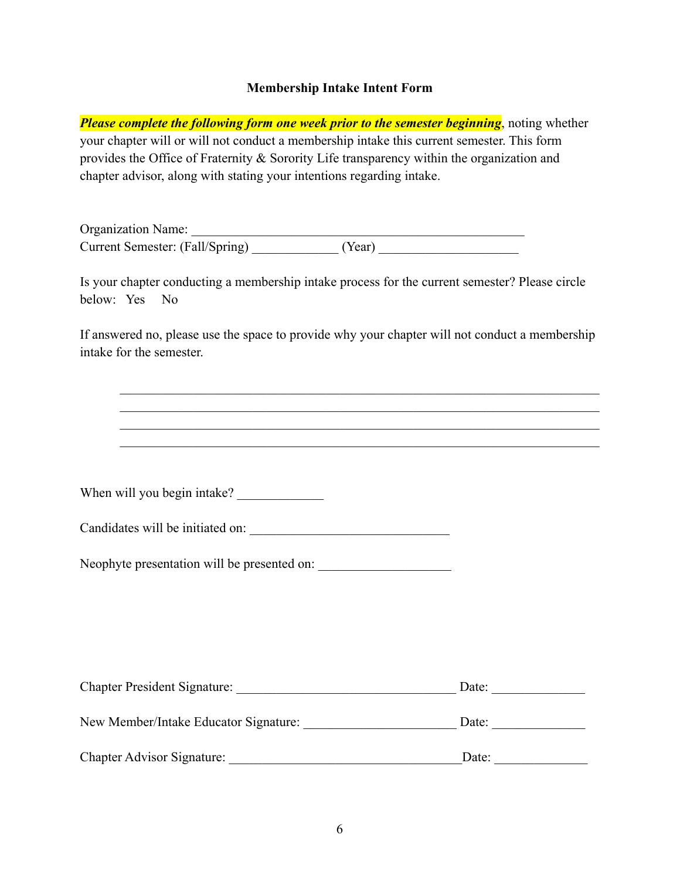### **Membership Intake Intent Form**

*Please complete the following form one week prior to the semester beginning*, noting whether your chapter will or will not conduct a membership intake this current semester. This form provides the Office of Fraternity & Sorority Life transparency within the organization and chapter advisor, along with stating your intentions regarding intake.

Organization Name: \_\_\_\_\_\_\_\_\_\_\_\_\_\_\_\_\_\_\_\_\_\_\_\_\_\_\_\_\_\_\_\_\_\_\_\_\_\_\_\_\_\_\_\_\_\_\_\_\_\_ Current Semester: (Fall/Spring)  $(Year)$ 

Is your chapter conducting a membership intake process for the current semester? Please circle below: Yes No

If answered no, please use the space to provide why your chapter will not conduct a membership intake for the semester.

 $\mathcal{L}_\text{max}$  , and the contribution of the contribution of the contribution of the contribution of the contribution of the contribution of the contribution of the contribution of the contribution of the contribution of t  $\mathcal{L}_\text{max} = \mathcal{L}_\text{max} = \mathcal{L}_\text{max} = \mathcal{L}_\text{max} = \mathcal{L}_\text{max} = \mathcal{L}_\text{max} = \mathcal{L}_\text{max} = \mathcal{L}_\text{max} = \mathcal{L}_\text{max} = \mathcal{L}_\text{max} = \mathcal{L}_\text{max} = \mathcal{L}_\text{max} = \mathcal{L}_\text{max} = \mathcal{L}_\text{max} = \mathcal{L}_\text{max} = \mathcal{L}_\text{max} = \mathcal{L}_\text{max} = \mathcal{L}_\text{max} = \mathcal{$  $\mathcal{L}_\text{max}$  , and the contribution of the contribution of the contribution of the contribution of the contribution of the contribution of the contribution of the contribution of the contribution of the contribution of t  $\mathcal{L}_\text{max}$  , and the contribution of the contribution of the contribution of the contribution of the contribution of the contribution of the contribution of the contribution of the contribution of the contribution of t

When will you begin intake? \_\_\_\_\_\_\_\_\_\_\_\_\_

| Candidates will be initiated on: |  |
|----------------------------------|--|
|                                  |  |

Neophyte presentation will be presented on:

| <b>Chapter President Signature:</b>   | Date: |  |
|---------------------------------------|-------|--|
| New Member/Intake Educator Signature: | Date: |  |
| <b>Chapter Advisor Signature:</b>     | Date: |  |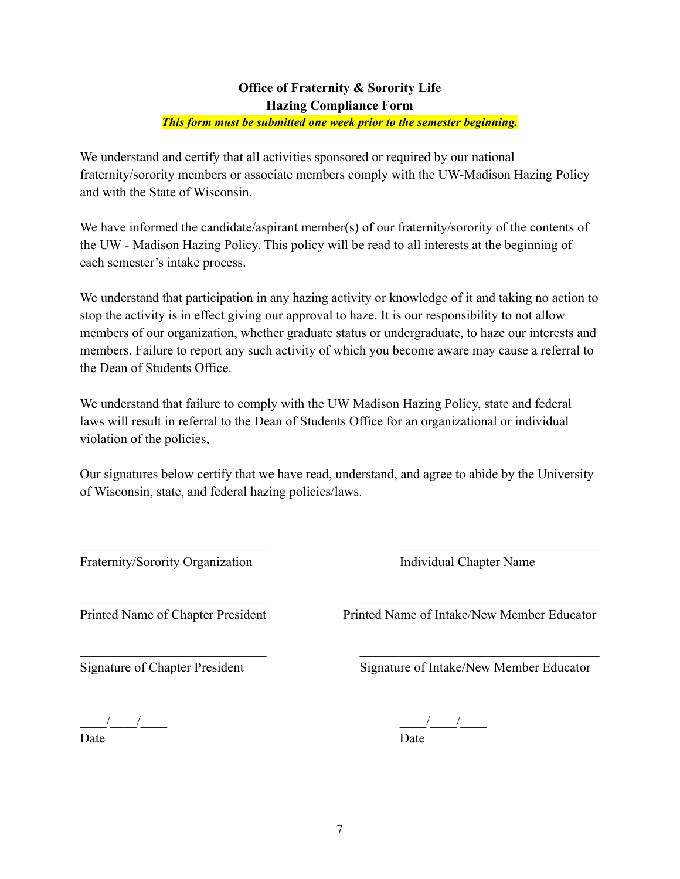### **Office of Fraternity & Sorority Life Hazing Compliance Form**

### *This form must be submitted one week prior to the semester beginning.*

We understand and certify that all activities sponsored or required by our national fraternity/sorority members or associate members comply with the UW-Madison Hazing Policy and with the State of Wisconsin.

We have informed the candidate/aspirant member(s) of our fraternity/sorority of the contents of the UW - Madison Hazing Policy. This policy will be read to all interests at the beginning of each semester's intake process.

We understand that participation in any hazing activity or knowledge of it and taking no action to stop the activity is in effect giving our approval to haze. It is our responsibility to not allow members of our organization, whether graduate status or undergraduate, to haze our interests and members. Failure to report any such activity of which you become aware may cause a referral to the Dean of Students Office.

We understand that failure to comply with the UW Madison Hazing Policy, state and federal laws will result in referral to the Dean of Students Office for an organizational or individual violation of the policies,

Our signatures below certify that we have read, understand, and agree to abide by the University of Wisconsin, state, and federal hazing policies/laws.

 $\mathcal{L}_\text{max}$  and the contract of the contract of the contract of the contract of the contract of the contract of

 $\mathcal{L}_\text{max}$  , and the contribution of the contribution of the contribution of the contribution of the contribution of the contribution of the contribution of the contribution of the contribution of the contribution of t

Fraternity/Sorority Organization Individual Chapter Name

 $\mathcal{L}_\text{max} = \frac{1}{2} \sum_{i=1}^n \mathcal{L}_\text{max}(\mathbf{z}_i - \mathbf{z}_i)$ Printed Name of Chapter President Printed Name of Intake/New Member Educator

Signature of Chapter President Signature of Intake/New Member Educator

Date Date

\_\_\_\_/\_\_\_\_/\_\_\_\_ \_\_\_\_/\_\_\_\_/\_\_\_\_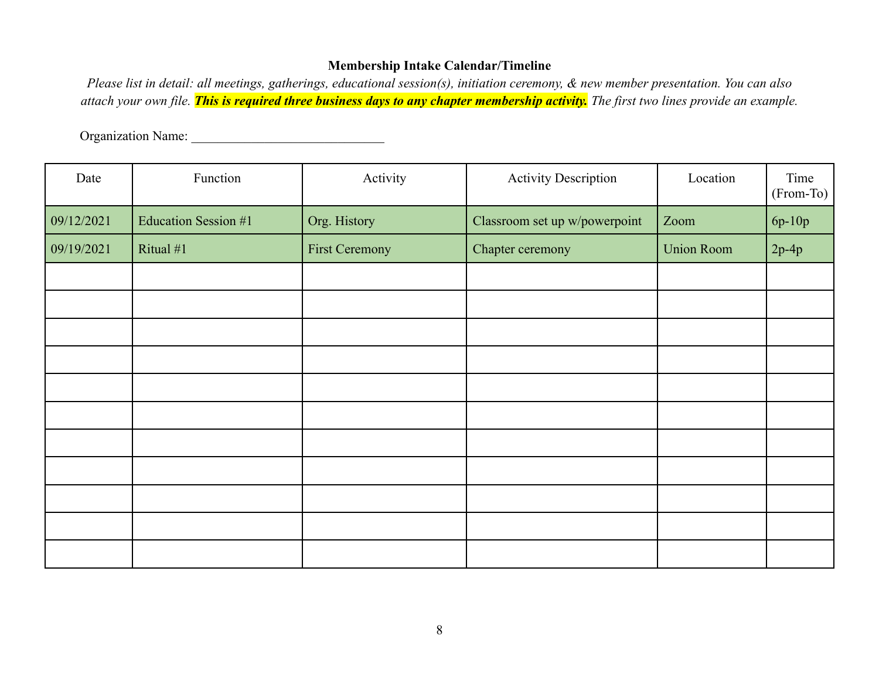## **Membership Intake Calendar/Timeline**

*Please list in detail: all meetings, gatherings, educational session(s), initiation ceremony, & new member presentation. You can also attach your own file. This is required three business days to any chapter membership activity. The first two lines provide an example.*

Organization Name: \_\_\_\_\_\_\_\_\_\_\_\_\_\_\_\_\_\_\_\_\_\_\_\_\_\_\_\_\_

| Date       | Function             | Activity              | <b>Activity Description</b>   | Location          | Time<br>(From-To) |
|------------|----------------------|-----------------------|-------------------------------|-------------------|-------------------|
| 09/12/2021 | Education Session #1 | Org. History          | Classroom set up w/powerpoint | Zoom              | 6p-10p            |
| 09/19/2021 | Ritual $#1$          | <b>First Ceremony</b> | Chapter ceremony              | <b>Union Room</b> | $2p-4p$           |
|            |                      |                       |                               |                   |                   |
|            |                      |                       |                               |                   |                   |
|            |                      |                       |                               |                   |                   |
|            |                      |                       |                               |                   |                   |
|            |                      |                       |                               |                   |                   |
|            |                      |                       |                               |                   |                   |
|            |                      |                       |                               |                   |                   |
|            |                      |                       |                               |                   |                   |
|            |                      |                       |                               |                   |                   |
|            |                      |                       |                               |                   |                   |
|            |                      |                       |                               |                   |                   |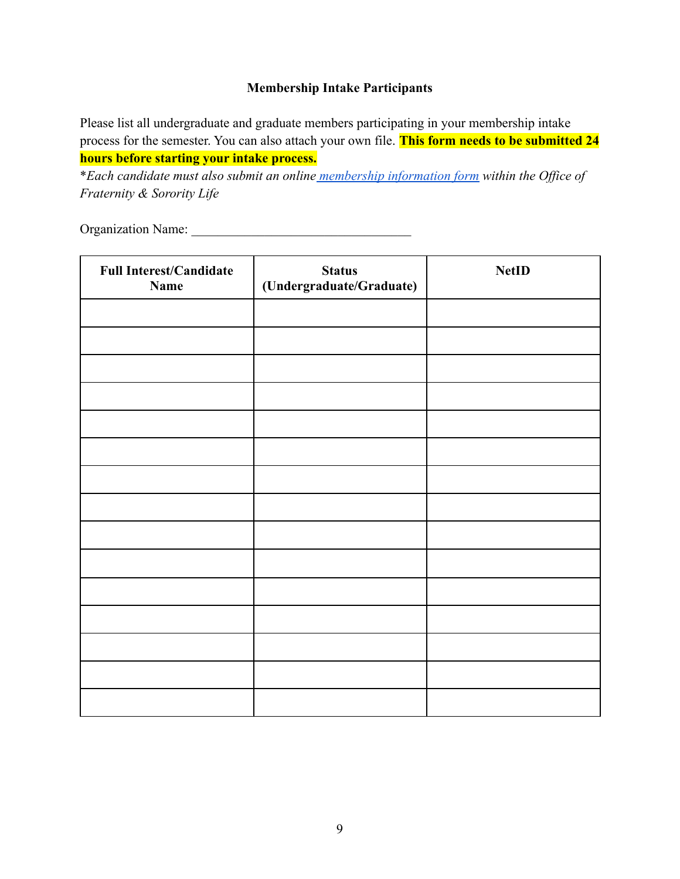## **Membership Intake Participants**

Please list all undergraduate and graduate members participating in your membership intake process for the semester. You can also attach your own file. **This form needs to be submitted 24 hours before starting your intake process.**

\**Each candidate must also submit an online membership [information form](https://win.wisc.edu/submitter/form/start/135078) within the Office of Fraternity & Sorority Life*

Organization Name:

| <b>Full Interest/Candidate</b><br><b>Name</b> | <b>Status</b><br>(Undergraduate/Graduate) | <b>NetID</b> |
|-----------------------------------------------|-------------------------------------------|--------------|
|                                               |                                           |              |
|                                               |                                           |              |
|                                               |                                           |              |
|                                               |                                           |              |
|                                               |                                           |              |
|                                               |                                           |              |
|                                               |                                           |              |
|                                               |                                           |              |
|                                               |                                           |              |
|                                               |                                           |              |
|                                               |                                           |              |
|                                               |                                           |              |
|                                               |                                           |              |
|                                               |                                           |              |
|                                               |                                           |              |